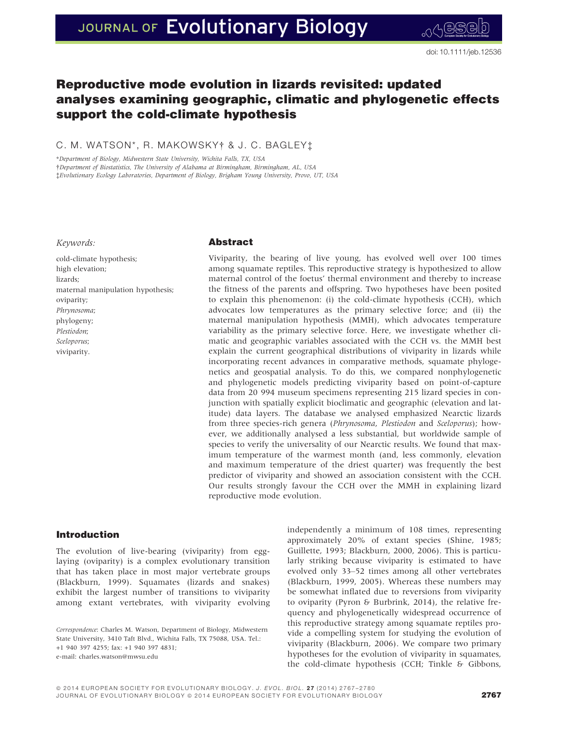# Reproductive mode evolution in lizards revisited: updated analyses examining geographic, climatic and phylogenetic effects support the cold-climate hypothesis

C. M. WATSON\*, R. MAKOWSKY† & J. C. BAGLEY‡

\*Department of Biology, Midwestern State University, Wichita Falls, TX, USA †Department of Biostatistics, The University of Alabama at Birmingham, Birmingham, AL, USA ‡Evolutionary Ecology Laboratories, Department of Biology, Brigham Young University, Provo, UT, USA

Keywords:

cold-climate hypothesis; high elevation; lizards<sup>.</sup> maternal manipulation hypothesis; oviparity; Phrynosoma; phylogeny; Plestiodon; Sceloporus; viviparity.

# Abstract

Viviparity, the bearing of live young, has evolved well over 100 times among squamate reptiles. This reproductive strategy is hypothesized to allow maternal control of the foetus' thermal environment and thereby to increase the fitness of the parents and offspring. Two hypotheses have been posited to explain this phenomenon: (i) the cold-climate hypothesis (CCH), which advocates low temperatures as the primary selective force; and (ii) the maternal manipulation hypothesis (MMH), which advocates temperature variability as the primary selective force. Here, we investigate whether climatic and geographic variables associated with the CCH vs. the MMH best explain the current geographical distributions of viviparity in lizards while incorporating recent advances in comparative methods, squamate phylogenetics and geospatial analysis. To do this, we compared nonphylogenetic and phylogenetic models predicting viviparity based on point-of-capture data from 20 994 museum specimens representing 215 lizard species in conjunction with spatially explicit bioclimatic and geographic (elevation and latitude) data layers. The database we analysed emphasized Nearctic lizards from three species-rich genera (Phrynosoma, Plestiodon and Sceloporus); however, we additionally analysed a less substantial, but worldwide sample of species to verify the universality of our Nearctic results. We found that maximum temperature of the warmest month (and, less commonly, elevation and maximum temperature of the driest quarter) was frequently the best predictor of viviparity and showed an association consistent with the CCH. Our results strongly favour the CCH over the MMH in explaining lizard reproductive mode evolution.

## Introduction

The evolution of live-bearing (viviparity) from egglaying (oviparity) is a complex evolutionary transition that has taken place in most major vertebrate groups (Blackburn, 1999). Squamates (lizards and snakes) exhibit the largest number of transitions to viviparity among extant vertebrates, with viviparity evolving

Correspondence: Charles M. Watson, Department of Biology, Midwestern State University, 3410 Taft Blvd., Wichita Falls, TX 75088, USA. Tel.:  $+1$  940 397 4255; fax:  $+1$  940 397 4831; e-mail: charles.watson@mwsu.edu

independently a minimum of 108 times, representing approximately 20% of extant species (Shine, 1985; Guillette, 1993; Blackburn, 2000, 2006). This is particularly striking because viviparity is estimated to have evolved only 33–52 times among all other vertebrates (Blackburn, 1999, 2005). Whereas these numbers may be somewhat inflated due to reversions from viviparity to oviparity (Pyron & Burbrink, 2014), the relative frequency and phylogenetically widespread occurrence of this reproductive strategy among squamate reptiles provide a compelling system for studying the evolution of viviparity (Blackburn, 2006). We compare two primary hypotheses for the evolution of viviparity in squamates, the cold-climate hypothesis (CCH; Tinkle & Gibbons,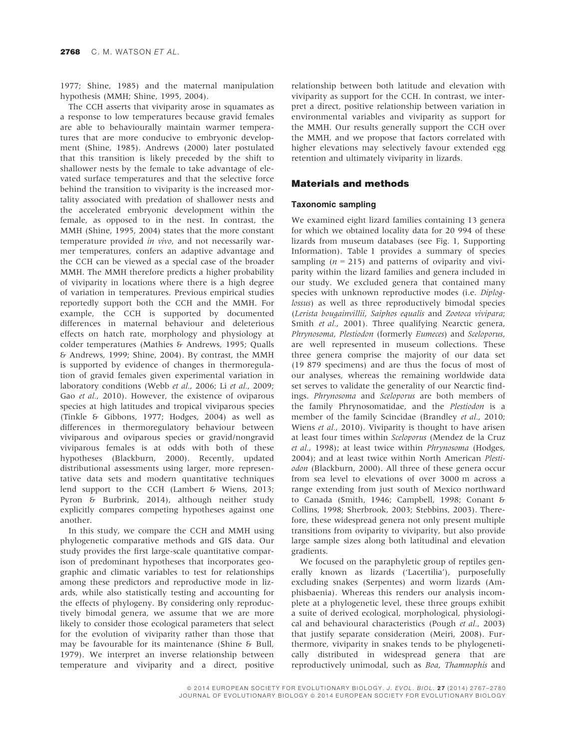1977; Shine, 1985) and the maternal manipulation hypothesis (MMH; Shine, 1995, 2004).

The CCH asserts that viviparity arose in squamates as a response to low temperatures because gravid females are able to behaviourally maintain warmer temperatures that are more conducive to embryonic development (Shine, 1985). Andrews (2000) later postulated that this transition is likely preceded by the shift to shallower nests by the female to take advantage of elevated surface temperatures and that the selective force behind the transition to viviparity is the increased mortality associated with predation of shallower nests and the accelerated embryonic development within the female, as opposed to in the nest. In contrast, the MMH (Shine, 1995, 2004) states that the more constant temperature provided in vivo, and not necessarily warmer temperatures, confers an adaptive advantage and the CCH can be viewed as a special case of the broader MMH. The MMH therefore predicts a higher probability of viviparity in locations where there is a high degree of variation in temperatures. Previous empirical studies reportedly support both the CCH and the MMH. For example, the CCH is supported by documented differences in maternal behaviour and deleterious effects on hatch rate, morphology and physiology at colder temperatures (Mathies & Andrews, 1995; Qualls & Andrews, 1999; Shine, 2004). By contrast, the MMH is supported by evidence of changes in thermoregulation of gravid females given experimental variation in laboratory conditions (Webb et al., 2006; Li et al., 2009; Gao et al., 2010). However, the existence of oviparous species at high latitudes and tropical viviparous species (Tinkle & Gibbons, 1977; Hodges, 2004) as well as differences in thermoregulatory behaviour between viviparous and oviparous species or gravid/nongravid viviparous females is at odds with both of these hypotheses (Blackburn, 2000). Recently, updated distributional assessments using larger, more representative data sets and modern quantitative techniques lend support to the CCH (Lambert & Wiens, 2013; Pyron & Burbrink, 2014), although neither study explicitly compares competing hypotheses against one another.

In this study, we compare the CCH and MMH using phylogenetic comparative methods and GIS data. Our study provides the first large-scale quantitative comparison of predominant hypotheses that incorporates geographic and climatic variables to test for relationships among these predictors and reproductive mode in lizards, while also statistically testing and accounting for the effects of phylogeny. By considering only reproductively bimodal genera, we assume that we are more likely to consider those ecological parameters that select for the evolution of viviparity rather than those that may be favourable for its maintenance (Shine & Bull, 1979). We interpret an inverse relationship between temperature and viviparity and a direct, positive

relationship between both latitude and elevation with viviparity as support for the CCH. In contrast, we interpret a direct, positive relationship between variation in environmental variables and viviparity as support for the MMH. Our results generally support the CCH over the MMH, and we propose that factors correlated with higher elevations may selectively favour extended egg retention and ultimately viviparity in lizards.

# Materials and methods

#### Taxonomic sampling

We examined eight lizard families containing 13 genera for which we obtained locality data for 20 994 of these lizards from museum databases (see Fig. 1, Supporting Information). Table 1 provides a summary of species sampling ( $n = 215$ ) and patterns of oviparity and viviparity within the lizard families and genera included in our study. We excluded genera that contained many species with unknown reproductive modes (i.e. Diploglossus) as well as three reproductively bimodal species (Lerista bougainvillii, Saiphos equalis and Zootoca vivipara; Smith et al., 2001). Three qualifying Nearctic genera, Phrynosoma, Plestiodon (formerly Eumeces) and Sceloporus, are well represented in museum collections. These three genera comprise the majority of our data set (19 879 specimens) and are thus the focus of most of our analyses, whereas the remaining worldwide data set serves to validate the generality of our Nearctic findings. Phrynosoma and Sceloporus are both members of the family Phrynosomatidae, and the Plestiodon is a member of the family Scincidae (Brandley et al., 2010; Wiens et al., 2010). Viviparity is thought to have arisen at least four times within Sceloporus (Mendez de la Cruz et al., 1998); at least twice within Phrynosoma (Hodges, 2004); and at least twice within North American Plestiodon (Blackburn, 2000). All three of these genera occur from sea level to elevations of over 3000 m across a range extending from just south of Mexico northward to Canada (Smith, 1946; Campbell, 1998; Conant & Collins, 1998; Sherbrook, 2003; Stebbins, 2003). Therefore, these widespread genera not only present multiple transitions from oviparity to viviparity, but also provide large sample sizes along both latitudinal and elevation gradients.

We focused on the paraphyletic group of reptiles generally known as lizards ('Lacertilia'), purposefully excluding snakes (Serpentes) and worm lizards (Amphisbaenia). Whereas this renders our analysis incomplete at a phylogenetic level, these three groups exhibit a suite of derived ecological, morphological, physiological and behavioural characteristics (Pough et al., 2003) that justify separate consideration (Meiri, 2008). Furthermore, viviparity in snakes tends to be phylogenetically distributed in widespread genera that are reproductively unimodal, such as Boa, Thamnophis and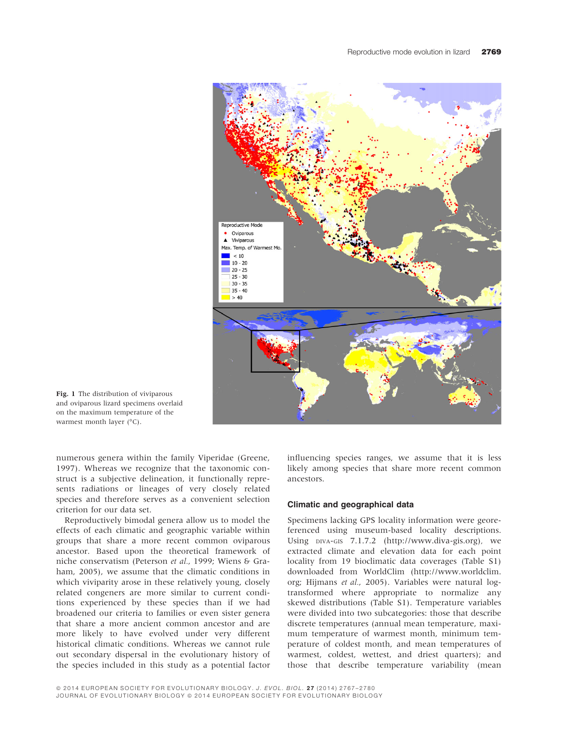

Fig. 1 The distribution of viviparous and oviparous lizard specimens overlaid on the maximum temperature of the warmest month layer (°C).

numerous genera within the family Viperidae (Greene, 1997). Whereas we recognize that the taxonomic construct is a subjective delineation, it functionally represents radiations or lineages of very closely related species and therefore serves as a convenient selection criterion for our data set.

Reproductively bimodal genera allow us to model the effects of each climatic and geographic variable within groups that share a more recent common oviparous ancestor. Based upon the theoretical framework of niche conservatism (Peterson et al., 1999; Wiens & Graham, 2005), we assume that the climatic conditions in which viviparity arose in these relatively young, closely related congeners are more similar to current conditions experienced by these species than if we had broadened our criteria to families or even sister genera that share a more ancient common ancestor and are more likely to have evolved under very different historical climatic conditions. Whereas we cannot rule out secondary dispersal in the evolutionary history of the species included in this study as a potential factor influencing species ranges, we assume that it is less likely among species that share more recent common ancestors.

#### Climatic and geographical data

Specimens lacking GPS locality information were georeferenced using museum-based locality descriptions. Using DIVA-GIS 7.1.7.2 (http://www.diva-gis.org), we extracted climate and elevation data for each point locality from 19 bioclimatic data coverages (Table S1) downloaded from WorldClim (http://www.worldclim. org; Hijmans et al., 2005). Variables were natural logtransformed where appropriate to normalize any skewed distributions (Table S1). Temperature variables were divided into two subcategories: those that describe discrete temperatures (annual mean temperature, maximum temperature of warmest month, minimum temperature of coldest month, and mean temperatures of warmest, coldest, wettest, and driest quarters); and those that describe temperature variability (mean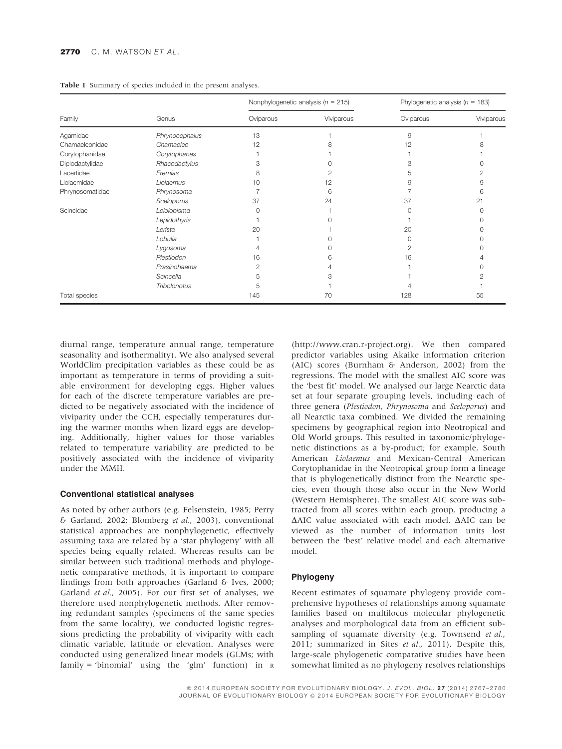|                 | Genus          | Nonphylogenetic analysis ( $n = 215$ ) |            | Phylogenetic analysis ( $n = 183$ ) |            |  |
|-----------------|----------------|----------------------------------------|------------|-------------------------------------|------------|--|
| Family          |                | Oviparous                              | Viviparous | Oviparous                           | Viviparous |  |
| Agamidae        | Phrynocephalus | 13                                     |            | 9                                   |            |  |
| Chamaeleonidae  | Chamaeleo      | 12                                     |            | 12                                  |            |  |
| Corytophanidae  | Corytophanes   |                                        |            |                                     |            |  |
| Diplodactylidae | Rhacodactylus  | 3                                      |            | З                                   |            |  |
| Lacertidae      | Eremias        | 8                                      | ∩          | 5                                   |            |  |
| Liolaemidae     | Liolaemus      | 10                                     | 12         | g                                   |            |  |
| Phrynosomatidae | Phrynosoma     |                                        | 6          |                                     | 6          |  |
|                 | Sceloporus     | 37                                     | 24         | 37                                  | 21         |  |
| Scincidae       | Leiolopisma    |                                        |            |                                     | C          |  |
|                 | Lepidothyris   |                                        |            |                                     |            |  |
|                 | Lerista        | 20                                     |            | 20                                  |            |  |
|                 | Lobulia        |                                        |            |                                     |            |  |
|                 | Lygosoma       |                                        |            | 2                                   |            |  |
|                 | Plestiodon     | 16                                     | Բ          | 16                                  |            |  |
|                 | Prasinohaema   | 2                                      |            |                                     |            |  |
|                 | Scincella      | 5                                      |            |                                     |            |  |
|                 | Tribolonotus   | 5                                      |            |                                     |            |  |
| Total species   |                | 145                                    | 70         | 128                                 | 55         |  |

| Table 1 Summary of species included in the present analyses. |  |  |  |
|--------------------------------------------------------------|--|--|--|
|                                                              |  |  |  |

diurnal range, temperature annual range, temperature seasonality and isothermality). We also analysed several WorldClim precipitation variables as these could be as important as temperature in terms of providing a suitable environment for developing eggs. Higher values for each of the discrete temperature variables are predicted to be negatively associated with the incidence of viviparity under the CCH, especially temperatures during the warmer months when lizard eggs are developing. Additionally, higher values for those variables related to temperature variability are predicted to be positively associated with the incidence of viviparity under the MMH.

#### Conventional statistical analyses

As noted by other authors (e.g. Felsenstein, 1985; Perry & Garland, 2002; Blomberg et al., 2003), conventional statistical approaches are nonphylogenetic, effectively assuming taxa are related by a 'star phylogeny' with all species being equally related. Whereas results can be similar between such traditional methods and phylogenetic comparative methods, it is important to compare findings from both approaches (Garland & Ives, 2000; Garland et al., 2005). For our first set of analyses, we therefore used nonphylogenetic methods. After removing redundant samples (specimens of the same species from the same locality), we conducted logistic regressions predicting the probability of viviparity with each climatic variable, latitude or elevation. Analyses were conducted using generalized linear models (GLMs; with family = 'binomial' using the 'glm' function) in  $R$ 

(http://www.cran.r-project.org). We then compared predictor variables using Akaike information criterion (AIC) scores (Burnham & Anderson, 2002) from the regressions. The model with the smallest AIC score was the 'best fit' model. We analysed our large Nearctic data set at four separate grouping levels, including each of three genera (Plestiodon, Phrynosoma and Sceloporus) and all Nearctic taxa combined. We divided the remaining specimens by geographical region into Neotropical and Old World groups. This resulted in taxonomic/phylogenetic distinctions as a by-product; for example, South American Liolaemus and Mexican-Central American Corytophanidae in the Neotropical group form a lineage that is phylogenetically distinct from the Nearctic species, even though those also occur in the New World (Western Hemisphere). The smallest AIC score was subtracted from all scores within each group, producing a  $\triangle$ AIC value associated with each model.  $\triangle$ AIC can be viewed as the number of information units lost between the 'best' relative model and each alternative model.

### Phylogeny

Recent estimates of squamate phylogeny provide comprehensive hypotheses of relationships among squamate families based on multilocus molecular phylogenetic analyses and morphological data from an efficient subsampling of squamate diversity (e.g. Townsend et al., 2011; summarized in Sites et al., 2011). Despite this, large-scale phylogenetic comparative studies have been somewhat limited as no phylogeny resolves relationships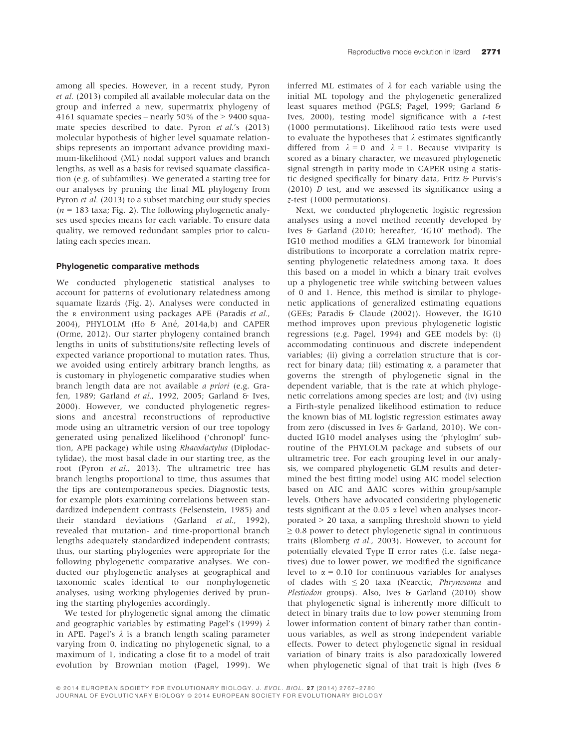among all species. However, in a recent study, Pyron et al. (2013) compiled all available molecular data on the group and inferred a new, supermatrix phylogeny of 4161 squamate species – nearly 50% of the > 9400 squamate species described to date. Pyron et al.'s (2013) molecular hypothesis of higher level squamate relationships represents an important advance providing maximum-likelihood (ML) nodal support values and branch lengths, as well as a basis for revised squamate classification (e.g. of subfamilies). We generated a starting tree for our analyses by pruning the final ML phylogeny from Pyron et al. (2013) to a subset matching our study species  $(n = 183 \text{ taxa}; \text{Fig. 2}).$  The following phylogenetic analyses used species means for each variable. To ensure data quality, we removed redundant samples prior to calculating each species mean.

#### Phylogenetic comparative methods

We conducted phylogenetic statistical analyses to account for patterns of evolutionary relatedness among squamate lizards (Fig. 2). Analyses were conducted in the R environment using packages APE (Paradis et al., 2004), PHYLOLM (Ho & Ane, 2014a,b) and CAPER (Orme, 2012). Our starter phylogeny contained branch lengths in units of substitutions/site reflecting levels of expected variance proportional to mutation rates. Thus, we avoided using entirely arbitrary branch lengths, as is customary in phylogenetic comparative studies when branch length data are not available a priori (e.g. Grafen, 1989; Garland et al., 1992, 2005; Garland & Ives, 2000). However, we conducted phylogenetic regressions and ancestral reconstructions of reproductive mode using an ultrametric version of our tree topology generated using penalized likelihood ('chronopl' function, APE package) while using Rhacodactylus (Diplodactylidae), the most basal clade in our starting tree, as the root (Pyron et al., 2013). The ultrametric tree has branch lengths proportional to time, thus assumes that the tips are contemporaneous species. Diagnostic tests, for example plots examining correlations between standardized independent contrasts (Felsenstein, 1985) and their standard deviations (Garland et al., 1992), revealed that mutation- and time-proportional branch lengths adequately standardized independent contrasts; thus, our starting phylogenies were appropriate for the following phylogenetic comparative analyses. We conducted our phylogenetic analyses at geographical and taxonomic scales identical to our nonphylogenetic analyses, using working phylogenies derived by pruning the starting phylogenies accordingly.

We tested for phylogenetic signal among the climatic and geographic variables by estimating Pagel's (1999)  $\lambda$ in APE. Pagel's  $\lambda$  is a branch length scaling parameter varying from 0, indicating no phylogenetic signal, to a maximum of 1, indicating a close fit to a model of trait evolution by Brownian motion (Pagel, 1999). We

inferred ML estimates of  $\lambda$  for each variable using the initial ML topology and the phylogenetic generalized least squares method (PGLS; Pagel, 1999; Garland & Ives, 2000), testing model significance with a t-test (1000 permutations). Likelihood ratio tests were used to evaluate the hypotheses that  $\lambda$  estimates significantly differed from  $\lambda = 0$  and  $\lambda = 1$ . Because viviparity is scored as a binary character, we measured phylogenetic signal strength in parity mode in CAPER using a statistic designed specifically for binary data, Fritz & Purvis's (2010)  $D$  test, and we assessed its significance using a z-test (1000 permutations).

Next, we conducted phylogenetic logistic regression analyses using a novel method recently developed by Ives & Garland (2010; hereafter, 'IG10' method). The IG10 method modifies a GLM framework for binomial distributions to incorporate a correlation matrix representing phylogenetic relatedness among taxa. It does this based on a model in which a binary trait evolves up a phylogenetic tree while switching between values of 0 and 1. Hence, this method is similar to phylogenetic applications of generalized estimating equations (GEEs; Paradis & Claude (2002)). However, the IG10 method improves upon previous phylogenetic logistic regressions (e.g. Pagel, 1994) and GEE models by: (i) accommodating continuous and discrete independent variables; (ii) giving a correlation structure that is correct for binary data; (iii) estimating  $\alpha$ , a parameter that governs the strength of phylogenetic signal in the dependent variable, that is the rate at which phylogenetic correlations among species are lost; and (iv) using a Firth-style penalized likelihood estimation to reduce the known bias of ML logistic regression estimates away from zero (discussed in Ives & Garland, 2010). We conducted IG10 model analyses using the 'phyloglm' subroutine of the PHYLOLM package and subsets of our ultrametric tree. For each grouping level in our analysis, we compared phylogenetic GLM results and determined the best fitting model using AIC model selection based on AIC and  $\triangle$ AIC scores within group/sample levels. Others have advocated considering phylogenetic tests significant at the  $0.05 \alpha$  level when analyses incorporated > 20 taxa, a sampling threshold shown to yield  $\geq$  0.8 power to detect phylogenetic signal in continuous traits (Blomberg et al., 2003). However, to account for potentially elevated Type II error rates (i.e. false negatives) due to lower power, we modified the significance level to  $\alpha$  = 0.10 for continuous variables for analyses of clades with  $\leq 20$  taxa (Nearctic, Phrynosoma and Plestiodon groups). Also, Ives & Garland (2010) show that phylogenetic signal is inherently more difficult to detect in binary traits due to low power stemming from lower information content of binary rather than continuous variables, as well as strong independent variable effects. Power to detect phylogenetic signal in residual variation of binary traits is also paradoxically lowered when phylogenetic signal of that trait is high (Ives &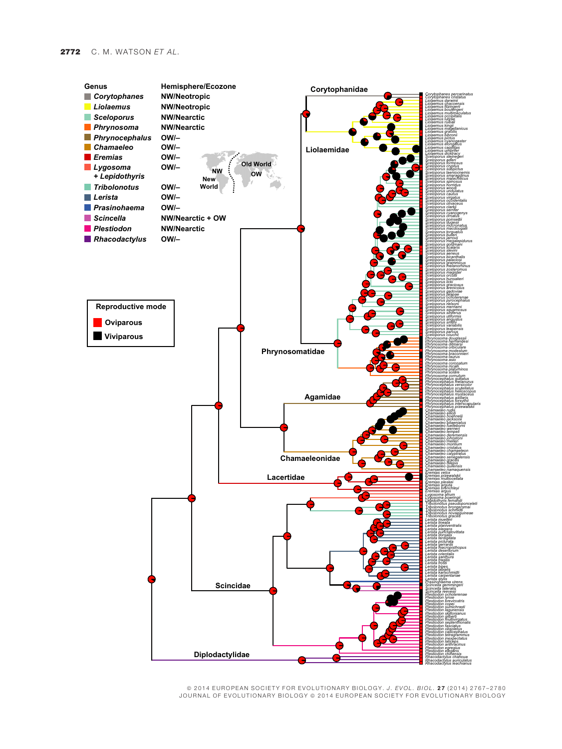

© 2014 EUROPEAN SOCIETY FOR EVOLUTIONARY BIOLOGY. J. EVOL. BIOL. 27 (2014) 2767-2780 JOURNAL OF EVOLUTIONARY BIOLOGY @ 2014 EUROPEAN SOCIETY FOR EVOLUTIONARY BIOLOGY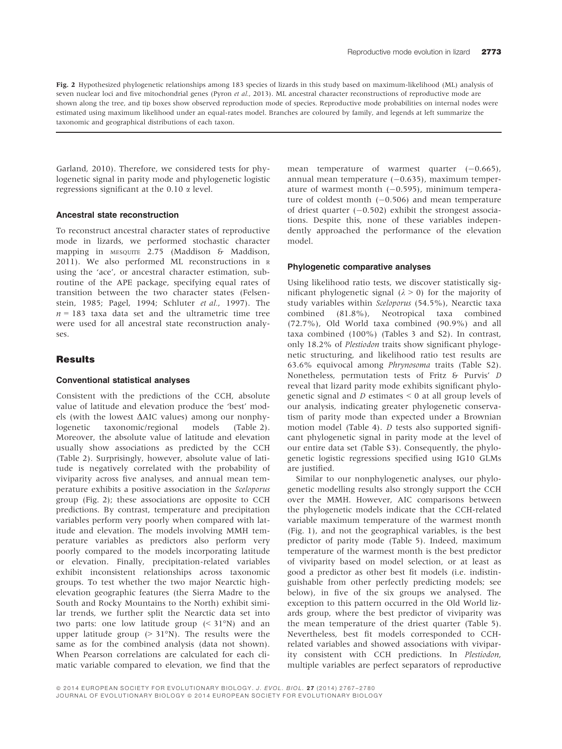Fig. 2 Hypothesized phylogenetic relationships among 183 species of lizards in this study based on maximum-likelihood (ML) analysis of seven nuclear loci and five mitochondrial genes (Pyron et al., 2013). ML ancestral character reconstructions of reproductive mode are shown along the tree, and tip boxes show observed reproduction mode of species. Reproductive mode probabilities on internal nodes were estimated using maximum likelihood under an equal-rates model. Branches are coloured by family, and legends at left summarize the taxonomic and geographical distributions of each taxon.

Garland, 2010). Therefore, we considered tests for phylogenetic signal in parity mode and phylogenetic logistic regressions significant at the  $0.10 \alpha$  level.

#### Ancestral state reconstruction

To reconstruct ancestral character states of reproductive mode in lizards, we performed stochastic character mapping in MESQUITE 2.75 (Maddison & Maddison, 2011). We also performed ML reconstructions in <sup>R</sup> using the 'ace', or ancestral character estimation, subroutine of the APE package, specifying equal rates of transition between the two character states (Felsenstein, 1985; Pagel, 1994; Schluter et al., 1997). The  $n = 183$  taxa data set and the ultrametric time tree were used for all ancestral state reconstruction analyses.

#### Results

#### Conventional statistical analyses

Consistent with the predictions of the CCH, absolute value of latitude and elevation produce the 'best' models (with the lowest  $\Delta AIC$  values) among our nonphylogenetic taxonomic/regional models (Table 2). Moreover, the absolute value of latitude and elevation usually show associations as predicted by the CCH (Table 2). Surprisingly, however, absolute value of latitude is negatively correlated with the probability of viviparity across five analyses, and annual mean temperature exhibits a positive association in the Sceloporus group (Fig. 2); these associations are opposite to CCH predictions. By contrast, temperature and precipitation variables perform very poorly when compared with latitude and elevation. The models involving MMH temperature variables as predictors also perform very poorly compared to the models incorporating latitude or elevation. Finally, precipitation-related variables exhibit inconsistent relationships across taxonomic groups. To test whether the two major Nearctic highelevation geographic features (the Sierra Madre to the South and Rocky Mountains to the North) exhibit similar trends, we further split the Nearctic data set into two parts: one low latitude group (< 31°N) and an upper latitude group  $(>31°N)$ . The results were the same as for the combined analysis (data not shown). When Pearson correlations are calculated for each climatic variable compared to elevation, we find that the

mean temperature of warmest quarter  $(-0.665)$ , annual mean temperature  $(-0.635)$ , maximum temperature of warmest month  $(-0.595)$ , minimum temperature of coldest month  $(-0.506)$  and mean temperature of driest quarter  $(-0.502)$  exhibit the strongest associations. Despite this, none of these variables independently approached the performance of the elevation model.

#### Phylogenetic comparative analyses

Using likelihood ratio tests, we discover statistically significant phylogenetic signal  $(\lambda > 0)$  for the majority of study variables within Sceloporus (54.5%), Nearctic taxa combined (81.8%), Neotropical taxa combined (72.7%), Old World taxa combined (90.9%) and all taxa combined (100%) (Tables 3 and S2). In contrast, only 18.2% of Plestiodon traits show significant phylogenetic structuring, and likelihood ratio test results are 63.6% equivocal among Phrynosoma traits (Table S2). Nonetheless, permutation tests of Fritz & Purvis' D reveal that lizard parity mode exhibits significant phylogenetic signal and D estimates < 0 at all group levels of our analysis, indicating greater phylogenetic conservatism of parity mode than expected under a Brownian motion model (Table 4). D tests also supported significant phylogenetic signal in parity mode at the level of our entire data set (Table S3). Consequently, the phylogenetic logistic regressions specified using IG10 GLMs are justified.

Similar to our nonphylogenetic analyses, our phylogenetic modelling results also strongly support the CCH over the MMH. However, AIC comparisons between the phylogenetic models indicate that the CCH-related variable maximum temperature of the warmest month (Fig. 1), and not the geographical variables, is the best predictor of parity mode (Table 5). Indeed, maximum temperature of the warmest month is the best predictor of viviparity based on model selection, or at least as good a predictor as other best fit models (i.e. indistinguishable from other perfectly predicting models; see below), in five of the six groups we analysed. The exception to this pattern occurred in the Old World lizards group, where the best predictor of viviparity was the mean temperature of the driest quarter (Table 5). Nevertheless, best fit models corresponded to CCHrelated variables and showed associations with viviparity consistent with CCH predictions. In Plestiodon, multiple variables are perfect separators of reproductive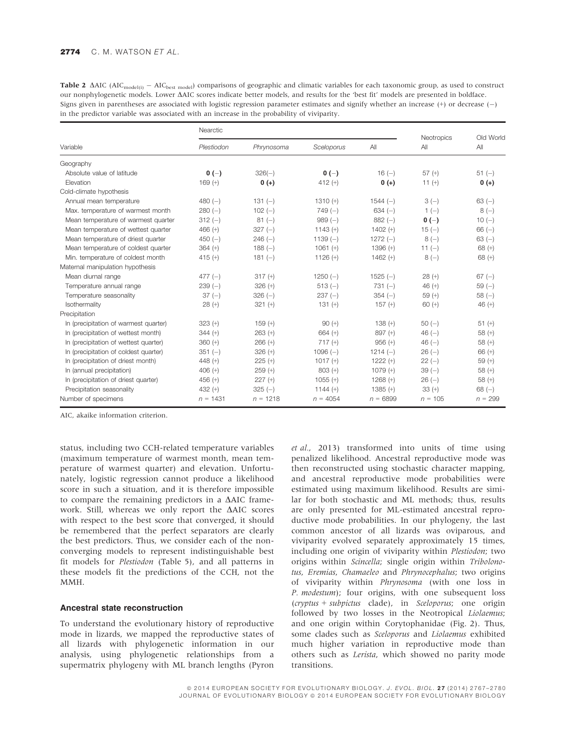**Table 2**  $\Delta$ AIC (AIC<sub>model(i)</sub> - AIC<sub>best model</sub>) comparisons of geographic and climatic variables for each taxonomic group, as used to construct our nonphylogenetic models. Lower DAIC scores indicate better models, and results for the 'best fit' models are presented in boldface. Signs given in parentheses are associated with logistic regression parameter estimates and signify whether an increase  $(+)$  or decrease  $(-)$ in the predictor variable was associated with an increase in the probability of viviparity.

|                                       | Nearctic   |            |            |            |                   |                  |
|---------------------------------------|------------|------------|------------|------------|-------------------|------------------|
| Variable                              | Plestiodon | Phrynosoma | Sceloporus | All        | Neotropics<br>All | Old World<br>All |
| Geography                             |            |            |            |            |                   |                  |
| Absolute value of latitude            | $0(-)$     | $326(-)$   | $0(-)$     | $16(-)$    | $57 (+)$          | $51(-)$          |
| Elevation                             | $169 (+)$  | $0 (+)$    | 412 $(+)$  | $0 (+)$    | $11 (+)$          | $0 (+)$          |
| Cold-climate hypothesis               |            |            |            |            |                   |                  |
| Annual mean temperature               | 480 $(-)$  | $131(-)$   | $1310 (+)$ | $1544 (-)$ | $3(-)$            | $63(-)$          |
| Max. temperature of warmest month     | $280(-)$   | $102 (-)$  | $749(-)$   | $634 (-)$  | $1(-)$            | $8(-)$           |
| Mean temperature of warmest quarter   | $312(-)$   | $81(-)$    | $989(-)$   | $882(-)$   | $0(-)$            | $10(-)$          |
| Mean temperature of wettest quarter   | $466 (+)$  | $327(-)$   | 1143 $(+)$ | $1402 (+)$ | $15(-)$           | $66(-)$          |
| Mean temperature of driest quarter    | 450 $(-)$  | $246(-)$   | 1139 $(-)$ | $1272(-)$  | $8(-)$            | $63(-)$          |
| Mean temperature of coldest quarter   | $364 (+)$  | $188(-)$   | $1061 (+)$ | $1396 (+)$ | 11 $(-)$          | $68 (+)$         |
| Min. temperature of coldest month     | 415 $(+)$  | 181 $(-)$  | $1126 (+)$ | $1462 (+)$ | $8(-)$            | $68 (+)$         |
| Maternal manipulation hypothesis      |            |            |            |            |                   |                  |
| Mean diurnal range                    | 477 $(-)$  | $317 (+)$  | $1250(-)$  | $1525(-)$  | $28 (+)$          | $67(-)$          |
| Temperature annual range              | $239(-)$   | $326 (+)$  | $513(-)$   | $731(-)$   | $46 (+)$          | $59(-)$          |
| Temperature seasonality               | $37(-)$    | $326(-)$   | $237(-)$   | $354(-)$   | $59 (+)$          | $58(-)$          |
| Isothermality                         | $28 (+)$   | $321 (+)$  | $131 (+)$  | $157 (+)$  | $60 (+)$          | $46 (+)$         |
| Precipitation                         |            |            |            |            |                   |                  |
| In (precipitation of warmest quarter) | $323 (+)$  | $159 (+)$  | $90 (+)$   | $138 (+)$  | $50(-)$           | $51 (+)$         |
| In (precipitation of wettest month)   | $344 (+)$  | $263 (+)$  | $664 (+)$  | $897 (+)$  | $46(-)$           | $58 (+)$         |
| In (precipitation of wettest quarter) | $360 (+)$  | $266 (+)$  | $717 (+)$  | $956 (+)$  | $46(-)$           | $58 (+)$         |
| In (precipitation of coldest quarter) | $351(-)$   | $326 (+)$  | $1096(-)$  | $1214(-)$  | $26(-)$           | $66 (+)$         |
| In (precipitation of driest month)    | 448 $(+)$  | $225 (+)$  | $1017 (+)$ | $1222 (+)$ | $22(-)$           | $59 (+)$         |
| In (annual precipitation)             | $406 (+)$  | $259 (+)$  | $803 (+)$  | $1079 (+)$ | $39(-)$           | $58 (+)$         |
| In (precipitation of driest quarter)  | 456 $(+)$  | $227 (+)$  | $1055 (+)$ | $1268 (+)$ | $26(-)$           | $58 (+)$         |
| Precipitation seasonality             | 432 $(+)$  | $325(-)$   | 1144 $(+)$ | $1385 (+)$ | $33 (+)$          | $68(-)$          |
| Number of specimens                   | $n = 1431$ | $n = 1218$ | $n = 4054$ | $n = 6899$ | $n = 105$         | $n = 299$        |

AIC, akaike information criterion.

status, including two CCH-related temperature variables (maximum temperature of warmest month, mean temperature of warmest quarter) and elevation. Unfortunately, logistic regression cannot produce a likelihood score in such a situation, and it is therefore impossible to compare the remaining predictors in a  $\Delta$ AIC framework. Still, whereas we only report the  $\Delta AIC$  scores with respect to the best score that converged, it should be remembered that the perfect separators are clearly the best predictors. Thus, we consider each of the nonconverging models to represent indistinguishable best fit models for Plestiodon (Table 5), and all patterns in these models fit the predictions of the CCH, not the MMH.

#### Ancestral state reconstruction

To understand the evolutionary history of reproductive mode in lizards, we mapped the reproductive states of all lizards with phylogenetic information in our analysis, using phylogenetic relationships from a supermatrix phylogeny with ML branch lengths (Pyron et al., 2013) transformed into units of time using penalized likelihood. Ancestral reproductive mode was then reconstructed using stochastic character mapping, and ancestral reproductive mode probabilities were estimated using maximum likelihood. Results are similar for both stochastic and ML methods; thus, results are only presented for ML-estimated ancestral reproductive mode probabilities. In our phylogeny, the last common ancestor of all lizards was oviparous, and viviparity evolved separately approximately 15 times, including one origin of viviparity within Plestiodon; two origins within Scincella; single origin within Tribolonotus, Eremias, Chamaeleo and Phrynocephalus; two origins of viviparity within Phrynosoma (with one loss in P. modestum); four origins, with one subsequent loss  $(cryptus + subpictus$  clade), in *Sceloporus*; one origin followed by two losses in the Neotropical Liolaemus; and one origin within Corytophanidae (Fig. 2). Thus, some clades such as Sceloporus and Liolaemus exhibited much higher variation in reproductive mode than others such as Lerista, which showed no parity mode transitions.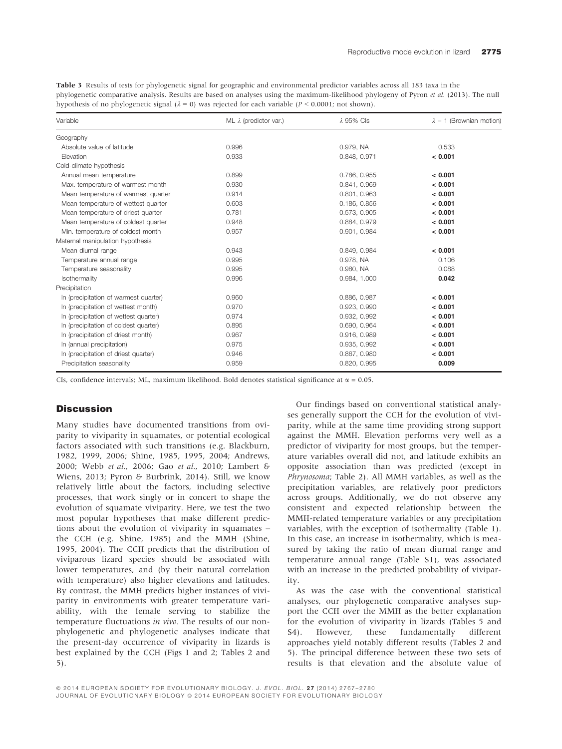Table 3 Results of tests for phylogenetic signal for geographic and environmental predictor variables across all 183 taxa in the phylogenetic comparative analysis. Results are based on analyses using the maximum-likelihood phylogeny of Pyron et al. (2013). The null hypothesis of no phylogenetic signal ( $\lambda = 0$ ) was rejected for each variable ( $P < 0.0001$ ; not shown).

| Variable                              | ML $\lambda$ (predictor var.) | λ 95% Cls    | $\lambda = 1$ (Brownian motion) |
|---------------------------------------|-------------------------------|--------------|---------------------------------|
| Geography                             |                               |              |                                 |
| Absolute value of latitude            | 0.996                         | 0.979, NA    | 0.533                           |
| <b>Elevation</b>                      | 0.933                         | 0.848, 0.971 | < 0.001                         |
| Cold-climate hypothesis               |                               |              |                                 |
| Annual mean temperature               | 0.899                         | 0.786, 0.955 | < 0.001                         |
| Max. temperature of warmest month     | 0.930                         | 0.841, 0.969 | < 0.001                         |
| Mean temperature of warmest quarter   | 0.914                         | 0.801, 0.963 | < 0.001                         |
| Mean temperature of wettest quarter   | 0.603                         | 0.186, 0.856 | < 0.001                         |
| Mean temperature of driest quarter    | 0.781                         | 0.573, 0.905 | < 0.001                         |
| Mean temperature of coldest quarter   | 0.948                         | 0.884, 0.979 | < 0.001                         |
| Min. temperature of coldest month     | 0.957                         | 0.901, 0.984 | < 0.001                         |
| Maternal manipulation hypothesis      |                               |              |                                 |
| Mean diurnal range                    | 0.943                         | 0.849, 0.984 | < 0.001                         |
| Temperature annual range              | 0.995                         | 0.978, NA    | 0.106                           |
| Temperature seasonality               | 0.995                         | 0.980, NA    | 0.088                           |
| Isothermality                         | 0.996                         | 0.984, 1.000 | 0.042                           |
| Precipitation                         |                               |              |                                 |
| In (precipitation of warmest quarter) | 0.960                         | 0.886, 0.987 | < 0.001                         |
| In (precipitation of wettest month)   | 0.970                         | 0.923, 0.990 | < 0.001                         |
| In (precipitation of wettest quarter) | 0.974                         | 0.932, 0.992 | < 0.001                         |
| In (precipitation of coldest quarter) | 0.895                         | 0.690, 0.964 | < 0.001                         |
| In (precipitation of driest month)    | 0.967                         | 0.916, 0.989 | < 0.001                         |
| In (annual precipitation)             | 0.975                         | 0.935, 0.992 | < 0.001                         |
| In (precipitation of driest quarter)  | 0.946                         | 0.867, 0.980 | < 0.001                         |
| Precipitation seasonality             | 0.959                         | 0.820, 0.995 | 0.009                           |
|                                       |                               |              |                                 |

CIs, confidence intervals; ML, maximum likelihood. Bold denotes statistical significance at  $\alpha = 0.05$ .

# **Discussion**

Many studies have documented transitions from oviparity to viviparity in squamates, or potential ecological factors associated with such transitions (e.g. Blackburn, 1982, 1999, 2006; Shine, 1985, 1995, 2004; Andrews, 2000; Webb et al., 2006; Gao et al., 2010; Lambert & Wiens, 2013; Pyron & Burbrink, 2014). Still, we know relatively little about the factors, including selective processes, that work singly or in concert to shape the evolution of squamate viviparity. Here, we test the two most popular hypotheses that make different predictions about the evolution of viviparity in squamates – the CCH (e.g. Shine, 1985) and the MMH (Shine, 1995, 2004). The CCH predicts that the distribution of viviparous lizard species should be associated with lower temperatures, and (by their natural correlation with temperature) also higher elevations and latitudes. By contrast, the MMH predicts higher instances of viviparity in environments with greater temperature variability, with the female serving to stabilize the temperature fluctuations in vivo. The results of our nonphylogenetic and phylogenetic analyses indicate that the present-day occurrence of viviparity in lizards is best explained by the CCH (Figs 1 and 2; Tables 2 and 5).

Our findings based on conventional statistical analyses generally support the CCH for the evolution of viviparity, while at the same time providing strong support against the MMH. Elevation performs very well as a predictor of viviparity for most groups, but the temperature variables overall did not, and latitude exhibits an opposite association than was predicted (except in Phrynosoma; Table 2). All MMH variables, as well as the precipitation variables, are relatively poor predictors across groups. Additionally, we do not observe any consistent and expected relationship between the MMH-related temperature variables or any precipitation variables, with the exception of isothermality (Table 1). In this case, an increase in isothermality, which is measured by taking the ratio of mean diurnal range and temperature annual range (Table S1), was associated with an increase in the predicted probability of viviparity.

As was the case with the conventional statistical analyses, our phylogenetic comparative analyses support the CCH over the MMH as the better explanation for the evolution of viviparity in lizards (Tables 5 and S4). However, these fundamentally different approaches yield notably different results (Tables 2 and 5). The principal difference between these two sets of results is that elevation and the absolute value of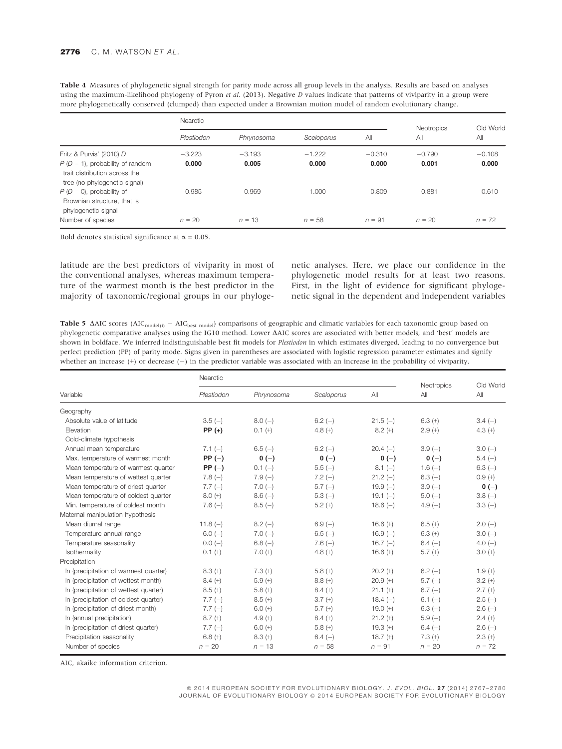|                                                                                                                                  | Nearctic          |                   |                   |                   |                          |                   |
|----------------------------------------------------------------------------------------------------------------------------------|-------------------|-------------------|-------------------|-------------------|--------------------------|-------------------|
|                                                                                                                                  | Plestiodon        | Phrynosoma        | Sceloporus        | All               | <b>Neotropics</b><br>All | Old World<br>All  |
| Fritz & Purvis' (2010) D<br>$P(D = 1)$ , probability of random<br>trait distribution across the<br>tree (no phylogenetic signal) | $-3.223$<br>0.000 | $-3.193$<br>0.005 | $-1.222$<br>0.000 | $-0.310$<br>0.000 | $-0.790$<br>0.001        | $-0.108$<br>0.000 |
| $P(D = 0)$ , probability of<br>Brownian structure, that is<br>phylogenetic signal                                                | 0.985             | 0.969             | 1.000             | 0.809             | 0.881                    | 0.610             |
| Number of species                                                                                                                | $n = 20$          | $n = 13$          | $n = 58$          | $n = 91$          | $n = 20$                 | $n = 72$          |

Table 4 Measures of phylogenetic signal strength for parity mode across all group levels in the analysis. Results are based on analyses using the maximum-likelihood phylogeny of Pyron et al. (2013). Negative  $D$  values indicate that patterns of viviparity in a group were more phylogenetically conserved (clumped) than expected under a Brownian motion model of random evolutionary change.

Bold denotes statistical significance at  $\alpha = 0.05$ .

latitude are the best predictors of viviparity in most of the conventional analyses, whereas maximum temperature of the warmest month is the best predictor in the majority of taxonomic/regional groups in our phylogenetic analyses. Here, we place our confidence in the phylogenetic model results for at least two reasons. First, in the light of evidence for significant phylogenetic signal in the dependent and independent variables

Table 5  $\Delta$ AIC scores (AIC<sub>model(i)</sub> - AIC<sub>best model</sub>) comparisons of geographic and climatic variables for each taxonomic group based on phylogenetic comparative analyses using the IG10 method. Lower AAIC scores are associated with better models, and 'best' models are shown in boldface. We inferred indistinguishable best fit models for *Plestiodon* in which estimates diverged, leading to no convergence but perfect prediction (PP) of parity mode. Signs given in parentheses are associated with logistic regression parameter estimates and signify whether an increase  $(+)$  or decrease  $(-)$  in the predictor variable was associated with an increase in the probability of viviparity.

|                                       | Nearctic   |            |            |            |                   |                  |
|---------------------------------------|------------|------------|------------|------------|-------------------|------------------|
| Variable                              | Plestiodon | Phrynosoma | Sceloporus | All        | Neotropics<br>All | Old World<br>All |
| Geography                             |            |            |            |            |                   |                  |
| Absolute value of latitude            | $3.5(-)$   | $8.0(-)$   | $6.2(-)$   | $21.5(-)$  | $6.3(+)$          | $3.4(-)$         |
| Elevation                             | $PP (+)$   | $0.1 (+)$  | 4.8 $(+)$  | $8.2(+)$   | $2.9(+)$          | $4.3(+)$         |
| Cold-climate hypothesis               |            |            |            |            |                   |                  |
| Annual mean temperature               | $7.1(-)$   | $6.5(-)$   | $6.2(-)$   | $20.4(-)$  | $3.9(-)$          | $3.0(-)$         |
| Max. temperature of warmest month     | $PP(-)$    | $0(-)$     | $0(-)$     | $0(-)$     | $0(-)$            | $5.4(-)$         |
| Mean temperature of warmest quarter   | $PP(-)$    | $0.1(-)$   | $5.5(-)$   | $8.1(-)$   | $1.6(-)$          | $6.3(-)$         |
| Mean temperature of wettest quarter   | $7.8(-)$   | $7.9(-)$   | $7.2(-)$   | $21.2(-)$  | $6.3(-)$          | $0.9(+)$         |
| Mean temperature of driest quarter    | $7.7(-)$   | $7.0(-)$   | $5.7(-)$   | $19.9(-)$  | $3.9(-)$          | $0(-)$           |
| Mean temperature of coldest quarter   | $8.0 (+)$  | $8.6(-)$   | $5.3(-)$   | $19.1(-)$  | $5.0(-)$          | $3.8(-)$         |
| Min. temperature of coldest month     | $7.6(-)$   | $8.5(-)$   | $5.2(+)$   | $18.6(-)$  | 4.9 $(-)$         | $3.3(-)$         |
| Maternal manipulation hypothesis      |            |            |            |            |                   |                  |
| Mean diurnal range                    | 11.8 $(-)$ | $8.2(-)$   | $6.9(-)$   | 16.6 $(+)$ | $6.5 (+)$         | $2.0(-)$         |
| Temperature annual range              | $6.0(-)$   | $7.0(-)$   | $6.5(-)$   | $16.9(-)$  | $6.3 (+)$         | $3.0(-)$         |
| Temperature seasonality               | $0.0(-)$   | $6.8(-)$   | $7.6(-)$   | 16.7 $(-)$ | $6.4(-)$          | 4.0 $(-)$        |
| Isothermality                         | $0.1 (+)$  | $7.0(+)$   | 4.8 $(+)$  | 16.6 $(+)$ | $5.7(+)$          | $3.0 (+)$        |
| Precipitation                         |            |            |            |            |                   |                  |
| In (precipitation of warmest quarter) | $8.3(+)$   | $7.3(+)$   | $5.8(+)$   | $20.2 (+)$ | $6.2(-)$          | $1.9(+)$         |
| In (precipitation of wettest month)   | $8.4 (+)$  | $5.9(+)$   | $8.8(+)$   | $20.9 (+)$ | $5.7(-)$          | $3.2 (+)$        |
| In (precipitation of wettest quarter) | $8.5(+)$   | $5.8(+)$   | $8.4(+)$   | $21.1 (+)$ | $6.7(-)$          | $2.7(+)$         |
| In (precipitation of coldest quarter) | $7.7(-)$   | $8.5(+)$   | $3.7(+)$   | $18.4(-)$  | $6.1(-)$          | $2.5(-)$         |
| In (precipitation of driest month)    | $7.7(-)$   | $6.0 (+)$  | $5.7(+)$   | 19.0 $(+)$ | $6.3(-)$          | $2.6(-)$         |
| In (annual precipitation)             | $8.7(+)$   | 4.9 $(+)$  | $8.4(+)$   | $21.2 (+)$ | $5.9(-)$          | $2.4 (+)$        |
| In (precipitation of driest quarter)  | $7.7(-)$   | $6.0 (+)$  | $5.8(+)$   | 19.3 $(+)$ | $6.4(-)$          | $2.6(-)$         |
| Precipitation seasonality             | $6.8(+)$   | $8.3(+)$   | $6.4(-)$   | $18.7 (+)$ | $7.3(+)$          | $2.3(+)$         |
| Number of species                     | $n = 20$   | $n = 13$   | $n = 58$   | $n = 91$   | $n = 20$          | $n = 72$         |

AIC, akaike information criterion.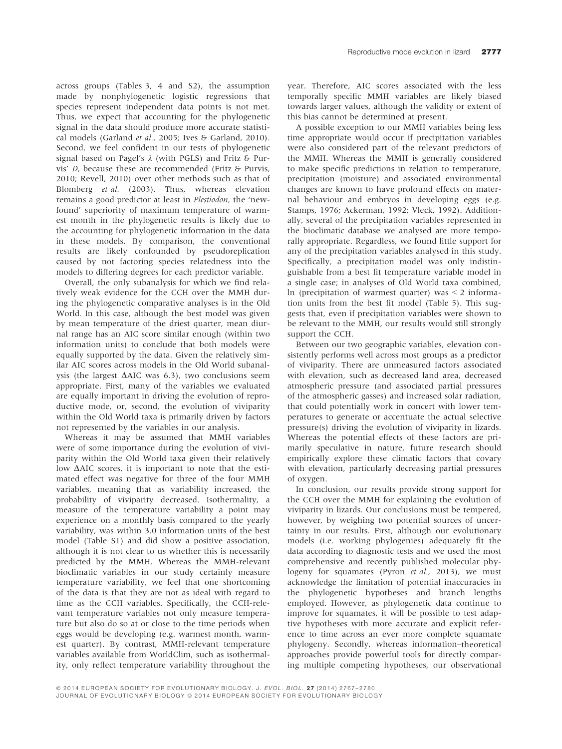across groups (Tables 3, 4 and S2), the assumption made by nonphylogenetic logistic regressions that species represent independent data points is not met. Thus, we expect that accounting for the phylogenetic signal in the data should produce more accurate statistical models (Garland et al., 2005; Ives & Garland, 2010). Second, we feel confident in our tests of phylogenetic signal based on Pagel's  $\lambda$  (with PGLS) and Fritz & Purvis' D, because these are recommended (Fritz & Purvis, 2010; Revell, 2010) over other methods such as that of Blomberg et al. (2003). Thus, whereas elevation remains a good predictor at least in Plestiodon, the 'newfound' superiority of maximum temperature of warmest month in the phylogenetic results is likely due to the accounting for phylogenetic information in the data in these models. By comparison, the conventional results are likely confounded by pseudoreplication caused by not factoring species relatedness into the models to differing degrees for each predictor variable.

Overall, the only subanalysis for which we find relatively weak evidence for the CCH over the MMH during the phylogenetic comparative analyses is in the Old World. In this case, although the best model was given by mean temperature of the driest quarter, mean diurnal range has an AIC score similar enough (within two information units) to conclude that both models were equally supported by the data. Given the relatively similar AIC scores across models in the Old World subanalysis (the largest  $\Delta AIC$  was 6.3), two conclusions seem appropriate. First, many of the variables we evaluated are equally important in driving the evolution of reproductive mode, or, second, the evolution of viviparity within the Old World taxa is primarily driven by factors not represented by the variables in our analysis.

Whereas it may be assumed that MMH variables were of some importance during the evolution of viviparity within the Old World taxa given their relatively low  $\Delta$ AIC scores, it is important to note that the estimated effect was negative for three of the four MMH variables, meaning that as variability increased, the probability of viviparity decreased. Isothermality, a measure of the temperature variability a point may experience on a monthly basis compared to the yearly variability, was within 3.0 information units of the best model (Table S1) and did show a positive association, although it is not clear to us whether this is necessarily predicted by the MMH. Whereas the MMH-relevant bioclimatic variables in our study certainly measure temperature variability, we feel that one shortcoming of the data is that they are not as ideal with regard to time as the CCH variables. Specifically, the CCH-relevant temperature variables not only measure temperature but also do so at or close to the time periods when eggs would be developing (e.g. warmest month, warmest quarter). By contrast, MMH-relevant temperature variables available from WorldClim, such as isothermality, only reflect temperature variability throughout the

Reproductive mode evolution in lizard 2777

year. Therefore, AIC scores associated with the less temporally specific MMH variables are likely biased towards larger values, although the validity or extent of this bias cannot be determined at present.

A possible exception to our MMH variables being less time appropriate would occur if precipitation variables were also considered part of the relevant predictors of the MMH. Whereas the MMH is generally considered to make specific predictions in relation to temperature, precipitation (moisture) and associated environmental changes are known to have profound effects on maternal behaviour and embryos in developing eggs (e.g. Stamps, 1976; Ackerman, 1992; Vleck, 1992). Additionally, several of the precipitation variables represented in the bioclimatic database we analysed are more temporally appropriate. Regardless, we found little support for any of the precipitation variables analysed in this study. Specifically, a precipitation model was only indistinguishable from a best fit temperature variable model in a single case; in analyses of Old World taxa combined, ln (precipitation of warmest quarter) was < 2 information units from the best fit model (Table 5). This suggests that, even if precipitation variables were shown to be relevant to the MMH, our results would still strongly support the CCH.

Between our two geographic variables, elevation consistently performs well across most groups as a predictor of viviparity. There are unmeasured factors associated with elevation, such as decreased land area, decreased atmospheric pressure (and associated partial pressures of the atmospheric gasses) and increased solar radiation, that could potentially work in concert with lower temperatures to generate or accentuate the actual selective pressure(s) driving the evolution of viviparity in lizards. Whereas the potential effects of these factors are primarily speculative in nature, future research should empirically explore these climatic factors that covary with elevation, particularly decreasing partial pressures of oxygen.

In conclusion, our results provide strong support for the CCH over the MMH for explaining the evolution of viviparity in lizards. Our conclusions must be tempered, however, by weighing two potential sources of uncertainty in our results. First, although our evolutionary models (i.e. working phylogenies) adequately fit the data according to diagnostic tests and we used the most comprehensive and recently published molecular phylogeny for squamates (Pyron et al., 2013), we must acknowledge the limitation of potential inaccuracies in the phylogenetic hypotheses and branch lengths employed. However, as phylogenetic data continue to improve for squamates, it will be possible to test adaptive hypotheses with more accurate and explicit reference to time across an ever more complete squamate phylogeny. Secondly, whereas information–theoretical approaches provide powerful tools for directly comparing multiple competing hypotheses, our observational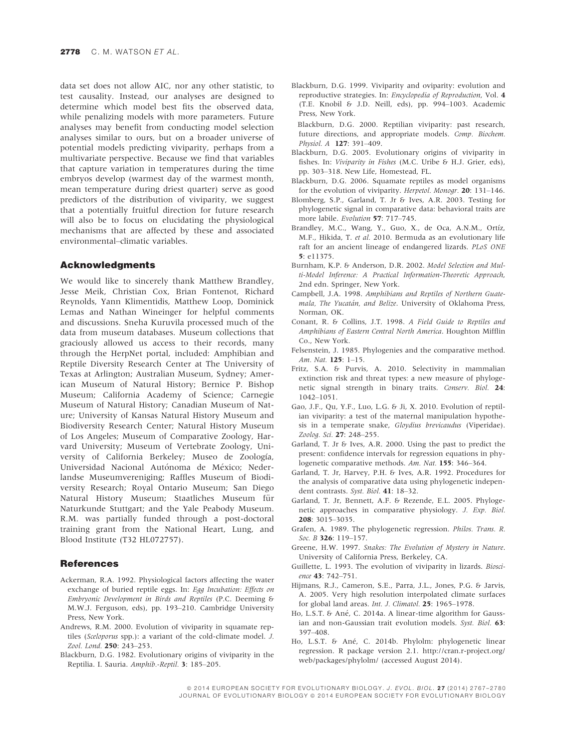data set does not allow AIC, nor any other statistic, to test causality. Instead, our analyses are designed to determine which model best fits the observed data, while penalizing models with more parameters. Future analyses may benefit from conducting model selection analyses similar to ours, but on a broader universe of potential models predicting viviparity, perhaps from a multivariate perspective. Because we find that variables that capture variation in temperatures during the time embryos develop (warmest day of the warmest month, mean temperature during driest quarter) serve as good predictors of the distribution of viviparity, we suggest that a potentially fruitful direction for future research will also be to focus on elucidating the physiological mechanisms that are affected by these and associated environmental–climatic variables.

## Acknowledgments

We would like to sincerely thank Matthew Brandley, Jesse Meik, Christian Cox, Brian Fontenot, Richard Reynolds, Yann Klimentidis, Matthew Loop, Dominick Lemas and Nathan Wineinger for helpful comments and discussions. Sneha Kuruvila processed much of the data from museum databases. Museum collections that graciously allowed us access to their records, many through the HerpNet portal, included: Amphibian and Reptile Diversity Research Center at The University of Texas at Arlington; Australian Museum, Sydney; American Museum of Natural History; Bernice P. Bishop Museum; California Academy of Science; Carnegie Museum of Natural History; Canadian Museum of Nature; University of Kansas Natural History Museum and Biodiversity Research Center; Natural History Museum of Los Angeles; Museum of Comparative Zoology, Harvard University; Museum of Vertebrate Zoology, University of California Berkeley; Museo de Zoología, Universidad Nacional Autónoma de México; Nederlandse Museumvereniging; Raffles Museum of Biodiversity Research; Royal Ontario Museum; San Diego Natural History Museum; Staatliches Museum für Naturkunde Stuttgart; and the Yale Peabody Museum. R.M. was partially funded through a post-doctoral training grant from the National Heart, Lung, and Blood Institute (T32 HL072757).

#### References

- Ackerman, R.A. 1992. Physiological factors affecting the water exchange of buried reptile eggs. In: Egg Incubation: Effects on Embryonic Development in Birds and Reptiles (P.C. Deeming & M.W.J. Ferguson, eds), pp. 193–210. Cambridge University Press, New York.
- Andrews, R.M. 2000. Evolution of viviparity in squamate reptiles (Sceloporus spp.): a variant of the cold-climate model. J. Zool. Lond. 250: 243–253.
- Blackburn, D.G. 1982. Evolutionary origins of viviparity in the Reptilia. I. Sauria. Amphib.-Reptil. 3: 185–205.

Blackburn, D.G. 1999. Viviparity and oviparity: evolution and reproductive strategies. In: Encyclopedia of Reproduction, Vol. 4 (T.E. Knobil & J.D. Neill, eds), pp. 994–1003. Academic Press, New York.

Blackburn, D.G. 2000. Reptilian viviparity: past research, future directions, and appropriate models. Comp. Biochem. Physiol. A 127: 391–409.

- Blackburn, D.G. 2005. Evolutionary origins of viviparity in fishes. In: Viviparity in Fishes (M.C. Uribe & H.J. Grier, eds), pp. 303–318. New Life, Homestead, FL.
- Blackburn, D.G. 2006. Squamate reptiles as model organisms for the evolution of viviparity. Herpetol. Monogr. 20: 131–146.
- Blomberg, S.P., Garland, T. Jr & Ives, A.R. 2003. Testing for phylogenetic signal in comparative data: behavioral traits are more labile. Evolution 57: 717–745.
- Brandley, M.C., Wang, Y., Guo, X., de Oca, A.N.M., Ortíz, M.F., Hikida, T. et al. 2010. Bermuda as an evolutionary life raft for an ancient lineage of endangered lizards. PLoS ONE 5: e11375.
- Burnham, K.P. & Anderson, D.R. 2002. Model Selection and Multi-Model Inference: A Practical Information-Theoretic Approach, 2nd edn. Springer, New York.
- Campbell, J.A. 1998. Amphibians and Reptiles of Northern Guatemala, The Yucatán, and Belize. University of Oklahoma Press, Norman, OK.
- Conant, R. & Collins, J.T. 1998. A Field Guide to Reptiles and Amphibians of Eastern Central North America. Houghton Mifflin Co., New York.
- Felsenstein, J. 1985. Phylogenies and the comparative method. Am. Nat. 125: 1–15.
- Fritz, S.A. & Purvis, A. 2010. Selectivity in mammalian extinction risk and threat types: a new measure of phylogenetic signal strength in binary traits. Conserv. Biol. 24: 1042–1051.
- Gao, J.F., Qu, Y.F., Luo, L.G. & Ji, X. 2010. Evolution of reptilian viviparity: a test of the maternal manipulation hypothesis in a temperate snake, Gloydius brevicaudus (Viperidae). Zoolog. Sci. 27: 248–255.
- Garland, T. Jr & Ives, A.R. 2000. Using the past to predict the present: confidence intervals for regression equations in phylogenetic comparative methods. Am. Nat. 155: 346-364.
- Garland, T. Jr, Harvey, P.H. & Ives, A.R. 1992. Procedures for the analysis of comparative data using phylogenetic independent contrasts. Syst. Biol. 41: 18-32.
- Garland, T. Jr, Bennett, A.F. & Rezende, E.L. 2005. Phylogenetic approaches in comparative physiology. J. Exp. Biol. 208: 3015–3035.
- Grafen, A. 1989. The phylogenetic regression. Philos. Trans. R. Soc. B 326: 119-157.
- Greene, H.W. 1997. Snakes: The Evolution of Mystery in Nature. University of California Press, Berkeley, CA.
- Guillette, L. 1993. The evolution of viviparity in lizards. Bioscience 43: 742–751.
- Hijmans, R.J., Cameron, S.E., Parra, J.L., Jones, P.G. & Jarvis, A. 2005. Very high resolution interpolated climate surfaces for global land areas. Int. J. Climatol. 25: 1965-1978.
- Ho, L.S.T. & Ané, C. 2014a. A linear-time algorithm for Gaussian and non-Gaussian trait evolution models. Syst. Biol. 63: 397–408.
- Ho, L.S.T. & Ané, C. 2014b. Phylolm: phylogenetic linear regression. R package version 2.1. http://cran.r-project.org/ web/packages/phylolm/ (accessed August 2014).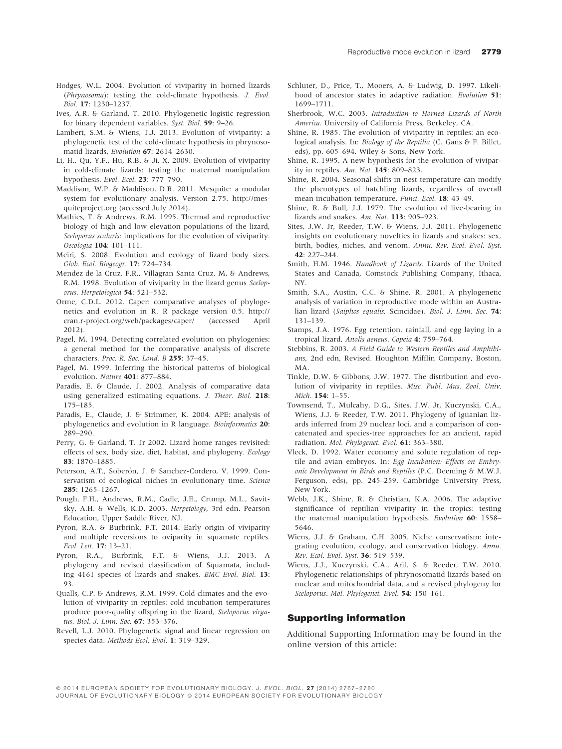- Hodges, W.L. 2004. Evolution of viviparity in horned lizards (Phrynosoma): testing the cold-climate hypothesis. J. Evol. Biol. 17: 1230–1237.
- Ives, A.R. & Garland, T. 2010. Phylogenetic logistic regression for binary dependent variables. Syst. Biol. 59: 9–26.
- Lambert, S.M. & Wiens, J.J. 2013. Evolution of viviparity: a phylogenetic test of the cold-climate hypothesis in phrynosomatid lizards. Evolution 67: 2614–2630.
- Li, H., Qu, Y.F., Hu, R.B. & Ji, X. 2009. Evolution of viviparity in cold-climate lizards: testing the maternal manipulation hypothesis. Evol. Ecol. 23: 777–790.
- Maddison, W.P. & Maddison, D.R. 2011. Mesquite: a modular system for evolutionary analysis. Version 2.75. http://mesquiteproject.org (accessed July 2014).
- Mathies, T. & Andrews, R.M. 1995. Thermal and reproductive biology of high and low elevation populations of the lizard, Sceloporus scalaris: implications for the evolution of viviparity. Oecologia 104: 101–111.
- Meiri, S. 2008. Evolution and ecology of lizard body sizes. Glob. Ecol. Biogeogr. 17: 724–734.
- Mendez de la Cruz, F.R., Villagran Santa Cruz, M. & Andrews, R.M. 1998. Evolution of viviparity in the lizard genus Sceloporus. Herpetologica 54: 521–532.
- Orme, C.D.L. 2012. Caper: comparative analyses of phylogenetics and evolution in R. R package version 0.5. http:// cran.r-project.org/web/packages/caper/ (accessed April 2012).
- Pagel, M. 1994. Detecting correlated evolution on phylogenies: a general method for the comparative analysis of discrete characters. Proc. R. Soc. Lond. B 255: 37-45.
- Pagel, M. 1999. Inferring the historical patterns of biological evolution. Nature 401: 877–884.
- Paradis, E. & Claude, J. 2002. Analysis of comparative data using generalized estimating equations. J. Theor. Biol. 218: 175–185.
- Paradis, E., Claude, J. & Strimmer, K. 2004. APE: analysis of phylogenetics and evolution in R language. Bioinformatics 20: 289–290.
- Perry, G. & Garland, T. Jr 2002. Lizard home ranges revisited: effects of sex, body size, diet, habitat, and phylogeny. Ecology 83: 1870–1885.
- Peterson, A.T., Soberón, J. & Sanchez-Cordero, V. 1999. Conservatism of ecological niches in evolutionary time. Science 285: 1265–1267.
- Pough, F.H., Andrews, R.M., Cadle, J.E., Crump, M.L., Savitsky, A.H. & Wells, K.D. 2003. Herpetology, 3rd edn. Pearson Education, Upper Saddle River, NJ.
- Pyron, R.A. & Burbrink, F.T. 2014. Early origin of viviparity and multiple reversions to oviparity in squamate reptiles. Ecol. Lett. 17: 13–21.
- Pyron, R.A., Burbrink, F.T. & Wiens, J.J. 2013. A phylogeny and revised classification of Squamata, including 4161 species of lizards and snakes. BMC Evol. Biol. 13: 93.
- Qualls, C.P. & Andrews, R.M. 1999. Cold climates and the evolution of viviparity in reptiles: cold incubation temperatures produce poor-quality offspring in the lizard, Sceloporus virgatus. Biol. J. Linn. Soc. 67: 353–376.
- Revell, L.J. 2010. Phylogenetic signal and linear regression on species data. Methods Ecol. Evol. 1: 319-329.
- Schluter, D., Price, T., Mooers, A. & Ludwig, D. 1997. Likelihood of ancestor states in adaptive radiation. Evolution 51: 1699–1711.
- Sherbrook, W.C. 2003. Introduction to Horned Lizards of North America. University of California Press, Berkeley, CA.
- Shine, R. 1985. The evolution of viviparity in reptiles: an ecological analysis. In: Biology of the Reptilia (C. Gans & F. Billet, eds), pp. 605–694. Wiley & Sons, New York.
- Shine, R. 1995. A new hypothesis for the evolution of viviparity in reptiles. Am. Nat. 145: 809–823.
- Shine, R. 2004. Seasonal shifts in nest temperature can modify the phenotypes of hatchling lizards, regardless of overall mean incubation temperature. Funct. Ecol. 18: 43–49.
- Shine, R. & Bull, J.J. 1979. The evolution of live-bearing in lizards and snakes. Am. Nat. 113: 905–923.
- Sites, J.W. Jr, Reeder, T.W. & Wiens, J.J. 2011. Phylogenetic insights on evolutionary novelties in lizards and snakes: sex, birth, bodies, niches, and venom. Annu. Rev. Ecol. Evol. Syst. 42: 227–244.
- Smith, H.M. 1946. Handbook of Lizards. Lizards of the United States and Canada, Comstock Publishing Company, Ithaca, NY.
- Smith, S.A., Austin, C.C. & Shine, R. 2001. A phylogenetic analysis of variation in reproductive mode within an Australian lizard (Saiphos equalis, Scincidae). Biol. J. Linn. Soc. 74: 131–139.
- Stamps, J.A. 1976. Egg retention, rainfall, and egg laying in a tropical lizard, Anolis aeneus. Copeia 4: 759–764.
- Stebbins, R. 2003. A Field Guide to Western Reptiles and Amphibians, 2nd edn, Revised. Houghton Mifflin Company, Boston, MA.
- Tinkle, D.W. & Gibbons, J.W. 1977. The distribution and evolution of viviparity in reptiles. Misc. Publ. Mus. Zool. Univ. Mich. 154: 1–55.
- Townsend, T., Mulcahy, D.G., Sites, J.W. Jr, Kuczynski, C.A., Wiens, J.J. & Reeder, T.W. 2011. Phylogeny of iguanian lizards inferred from 29 nuclear loci, and a comparison of concatenated and species-tree approaches for an ancient, rapid radiation. Mol. Phylogenet. Evol. 61: 363–380.
- Vleck, D. 1992. Water economy and solute regulation of reptile and avian embryos. In: Egg Incubation: Effects on Embryonic Development in Birds and Reptiles (P.C. Deeming & M.W.J. Ferguson, eds), pp. 245–259. Cambridge University Press, New York.
- Webb, J.K., Shine, R. & Christian, K.A. 2006. The adaptive significance of reptilian viviparity in the tropics: testing the maternal manipulation hypothesis. Evolution 60: 1558-5646.
- Wiens, J.J. & Graham, C.H. 2005. Niche conservatism: integrating evolution, ecology, and conservation biology. Annu. Rev. Ecol. Evol. Syst. 36: 519–539.
- Wiens, J.J., Kuczynski, C.A., Arif, S. & Reeder, T.W. 2010. Phylogenetic relationships of phrynosomatid lizards based on nuclear and mitochondrial data, and a revised phylogeny for Sceloporus. Mol. Phylogenet. Evol. 54: 150-161.

## Supporting information

Additional Supporting Information may be found in the online version of this article: